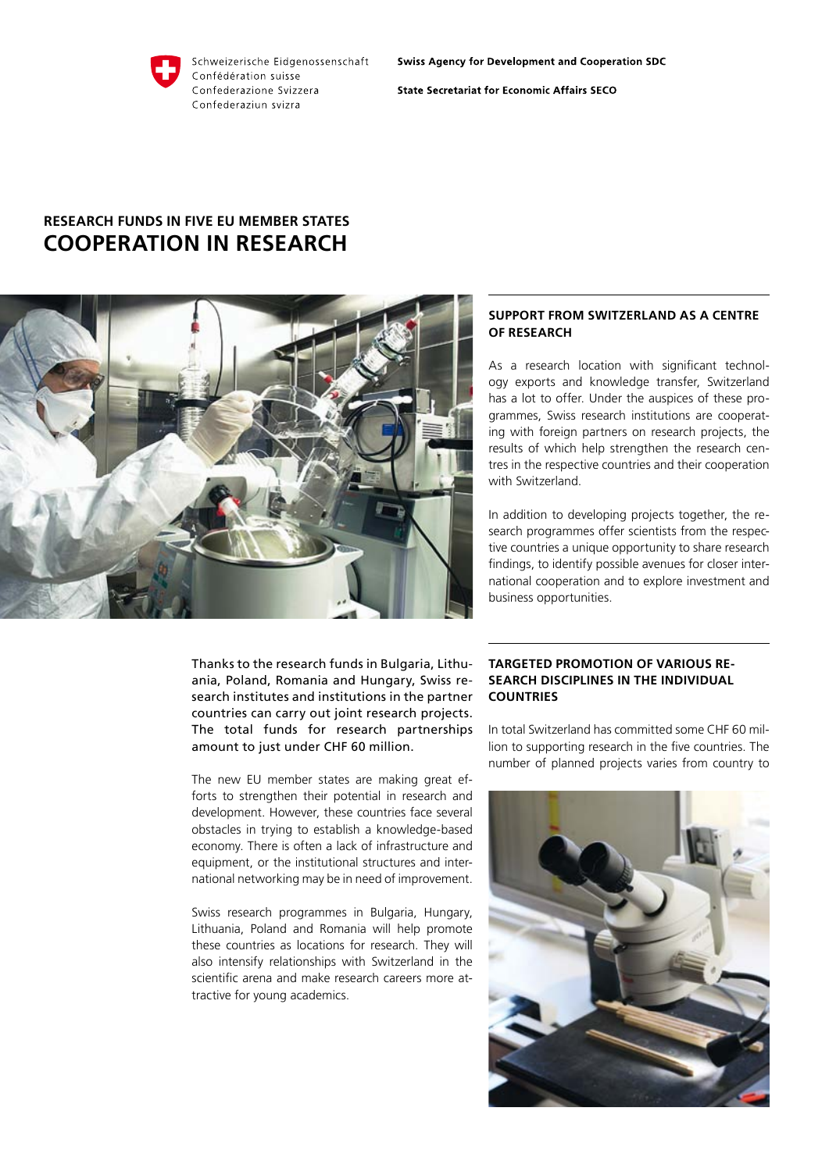#### Schweizerische Eidgenossenschaft Confédération suisse Confederazione Svizzera Confederaziun svizra

**Swiss Agency for Development and Cooperation SDC** 

**State Secretariat for Economic Affairs SECO** 

# **Research funds in five EU member states Cooperation in research**



Thanks to the research funds in Bulgaria, Lithuania, Poland, Romania and Hungary, Swiss research institutes and institutions in the partner countries can carry out joint research projects. The total funds for research partnerships amount to just under CHF 60 million.

The new EU member states are making great efforts to strengthen their potential in research and development. However, these countries face several obstacles in trying to establish a knowledge-based economy. There is often a lack of infrastructure and equipment, or the institutional structures and international networking may be in need of improvement.

Swiss research programmes in Bulgaria, Hungary, Lithuania, Poland and Romania will help promote these countries as locations for research. They will also intensify relationships with Switzerland in the scientific arena and make research careers more attractive for young academics.

## **Support from Switzerland as a centre of research**

As a research location with significant technology exports and knowledge transfer, Switzerland has a lot to offer. Under the auspices of these programmes, Swiss research institutions are cooperating with foreign partners on research projects, the results of which help strengthen the research centres in the respective countries and their cooperation with Switzerland.

In addition to developing projects together, the research programmes offer scientists from the respective countries a unique opportunity to share research findings, to identify possible avenues for closer international cooperation and to explore investment and business opportunities.

## **Targeted promotion of various research disciplines in the individual countries**

In total Switzerland has committed some CHF 60 million to supporting research in the five countries. The number of planned projects varies from country to